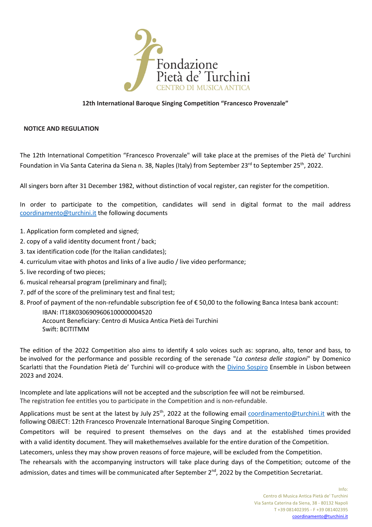

## **12th International Baroque Singing Competition "Francesco Provenzale"**

### **NOTICE AND REGULATION**

The 12th International Competition "Francesco Provenzale" will take place at the premises of the Pietà de' Turchini Foundation in Via Santa Caterina da Siena n. 38, Naples (Italy) from September 23<sup>rd</sup> to September 25<sup>th</sup>, 2022.

All singers born after 31 December 1982, without distinction of vocal register, can register for the competition.

In order to participate to the competition, candidates will send in digital format to the mail address coordinamento@turchini.it the following documents

- 1. Application form completed and signed;
- 2. copy of a valid identity document front / back;
- 3. tax identification code (for the Italian candidates);
- 4. curriculum vitae with photos and links of a live audio / live video performance;
- 5. live recording of two pieces;
- 6. musical rehearsal program (preliminary and final);
- 7. pdf of the score of the preliminary test and final test;
- 8. Proof of payment of the non-refundable subscription fee of € 50,00 to the following Banca Intesa bank account:

IBAN: IT18K0306909606100000004520 Account Beneficiary: Centro di Musica Antica Pietà dei Turchini Swift: BCITITMM

The edition of the 2022 Competition also aims to identify 4 solo voices such as: soprano, alto, tenor and bass, to be involved for the performance and possible recording of the serenade "*La contesa delle stagioni*" by Domenico Scarlatti that the Foundation Pietà de' Turchini will co-produce with the Divino Sospiro Ensemble in Lisbon between 2023 and 2024.

Incomplete and late applications will not be accepted and the subscription fee will not be reimbursed. The registration fee entitles you to participate in the Competition and is non-refundable.

Applications must be sent at the latest by July 25<sup>th</sup>, 2022 at the following email coordinamento@turchini.it with the following OBJECT: 12th Francesco Provenzale International Baroque Singing Competition.

Competitors will be required to present themselves on the days and at the established times provided with a valid identity document. They will makethemselves available for the entire duration of the Competition.

Latecomers, unless they may show proven reasons of force majeure, will be excluded from the Competition.

The rehearsals with the accompanying instructors will take place during days of the Competition; outcome of the admission, dates and times will be communicated after September 2<sup>nd</sup>, 2022 by the Competition Secretariat.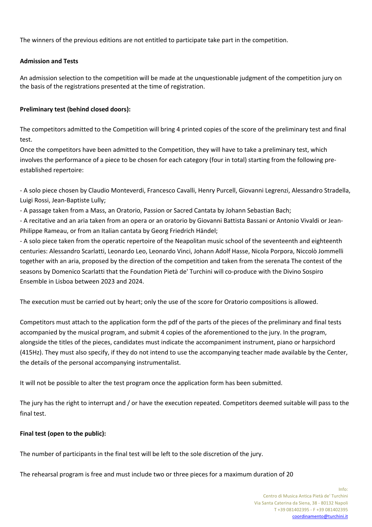The winners of the previous editions are not entitled to participate take part in the competition.

# **Admission and Tests**

An admission selection to the competition will be made at the unquestionable judgment of the competition jury on the basis of the registrations presented at the time of registration.

# **Preliminary test (behind closed doors):**

The competitors admitted to the Competition will bring 4 printed copies of the score of the preliminary test and final test.

Once the competitors have been admitted to the Competition, they will have to take a preliminary test, which involves the performance of a piece to be chosen for each category (four in total) starting from the following preestablished repertoire:

- A solo piece chosen by Claudio Monteverdi, Francesco Cavalli, Henry Purcell, Giovanni Legrenzi, Alessandro Stradella, Luigi Rossi, Jean-Baptiste Lully;

- A passage taken from a Mass, an Oratorio, Passion or Sacred Cantata by Johann Sebastian Bach;

- A recitative and an aria taken from an opera or an oratorio by Giovanni Battista Bassani or Antonio Vivaldi or Jean-Philippe Rameau, or from an Italian cantata by Georg Friedrich Händel;

- A solo piece taken from the operatic repertoire of the Neapolitan music school of the seventeenth and eighteenth centuries: Alessandro Scarlatti, Leonardo Leo, Leonardo Vinci, Johann Adolf Hasse, Nicola Porpora, Niccolò Jommelli together with an aria, proposed by the direction of the competition and taken from the serenata The contest of the seasons by Domenico Scarlatti that the Foundation Pietà de' Turchini will co-produce with the Divino Sospiro Ensemble in Lisboa between 2023 and 2024.

The execution must be carried out by heart; only the use of the score for Oratorio compositions is allowed.

Competitors must attach to the application form the pdf of the parts of the pieces of the preliminary and final tests accompanied by the musical program, and submit 4 copies of the aforementioned to the jury. In the program, alongside the titles of the pieces, candidates must indicate the accompaniment instrument, piano or harpsichord (415Hz). They must also specify, if they do not intend to use the accompanying teacher made available by the Center, the details of the personal accompanying instrumentalist.

It will not be possible to alter the test program once the application form has been submitted.

The jury has the right to interrupt and / or have the execution repeated. Competitors deemed suitable will pass to the final test.

## **Final test (open to the public):**

The number of participants in the final test will be left to the sole discretion of the jury.

The rehearsal program is free and must include two or three pieces for a maximum duration of 20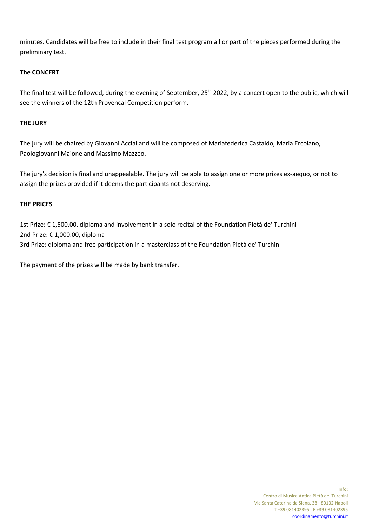minutes. Candidates will be free to include in their final test program all or part of the pieces performed during the preliminary test.

# **The CONCERT**

The final test will be followed, during the evening of September, 25<sup>th</sup> 2022, by a concert open to the public, which will see the winners of the 12th Provencal Competition perform.

## **THE JURY**

The jury will be chaired by Giovanni Acciai and will be composed of Mariafederica Castaldo, Maria Ercolano, Paologiovanni Maione and Massimo Mazzeo.

The jury's decision is final and unappealable. The jury will be able to assign one or more prizes ex-aequo, or not to assign the prizes provided if it deems the participants not deserving.

## **THE PRICES**

1st Prize: € 1,500.00, diploma and involvement in a solo recital of the Foundation Pietà de' Turchini 2nd Prize: € 1,000.00, diploma 3rd Prize: diploma and free participation in a masterclass of the Foundation Pietà de' Turchini

The payment of the prizes will be made by bank transfer.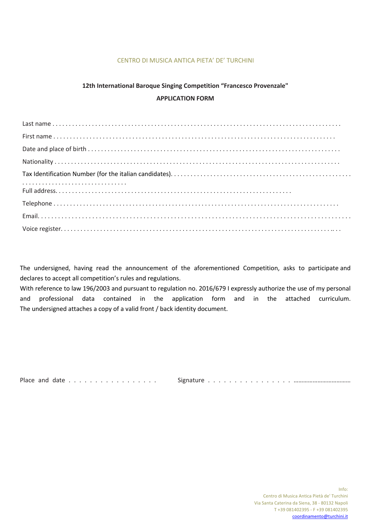## CENTRO DI MUSICA ANTICA PIETA' DE' TURCHINI

# **12th International Baroque Singing Competition "Francesco Provenzale" APPLICATION FORM**

The undersigned, having read the announcement of the aforementioned Competition, asks to participate and declares to accept all competition's rules and regulations.

With reference to law 196/2003 and pursuant to regulation no. 2016/679 I expressly authorize the use of my personal and professional data contained in the application form and in the attached curriculum. The undersigned attaches a copy of a valid front / back identity document.

Place and date . . . . . . . . . . . . . . . . . Signature . . . . . . . . . . . . . . . . ………………………………